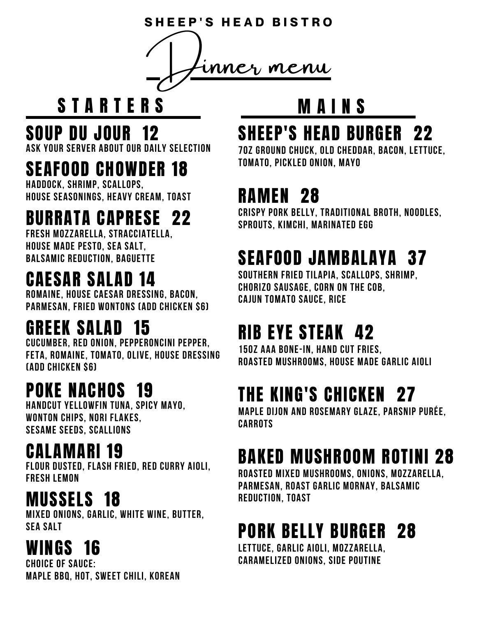**S H E E P ' S H E A D B I S T R O**



# STARTERS MAINS

#### SOUP DU JOUR 12

**Ask your server about our daily selection**

### SEAFOOD CHOWDER 18

**Haddock, shrimp, scallops, house seasonings, heavy cream, toast**

# BURRATA CAPRESE 22

**Fresh mozzarella, stracciatella, house made pesto, sea salt, balsamic reduction, baguette**

#### CAESAR SALAD 14

**romaine, house Caesar dressing, bacon, parmesan, fried wontons (add chicken \$6)**

#### GREEK SALAD 15

**cucumber, red onion, pepperoncini pepper, feta, romaine, tomato, olive, house dressing (add chicken \$6)**

# POKE NACHOS 19

**Handcut yellowfin tuna, spicy mayo, wonton chips, nori flakes, sesame seeds, scallions**

#### CALAMARI 19

**flour dusted, flash fried, red curry aioli, fresh lemon**

#### **MUSSELS 18** REDUCTION, TOAST

**Mixed onions, garlic, white wine, butter, sea salt**

#### WINGS 16

**choice of sauce: Maple BBQ, hot, sweet chili, Korean**

#### SHEEP'S HEAD BURGER 22

**7oz Ground chuck, old cheddar, bacon, lettuce, tomato, pickled onion, mayo**

### RAMEN 28

**Crispy pork belly, traditional broth, noodles, sprouts, kimchi, marinated egg**

# SEAFOOD JAMBALAYA 37

**SOUTHERN FRIED TILAPIA, SCALLOPS, SHRIMP, CHORIZO SAUSAGE, corn on the cob, CAJUN TOMATO SAUCE, RICE**

# RIB EYE STEAK 42

**15oz AAA bone-in, hand cut fries, roasted mushrooms, house made garlic aioli**

# THE KING'S CHICKEN 27

**Maple dijon and rosemary glaze, parsnip purée, carrots**

# BAKED MUSHROOM ROTINI 28

**Roasted mixed mushrooms, onions, mozzarella, parmesan, roast garlic mornay, balsamic**

# PORK BELLY BURGER 28

**lettuce, garlic aioli, mozzarella, caramelized onions, side poutine**